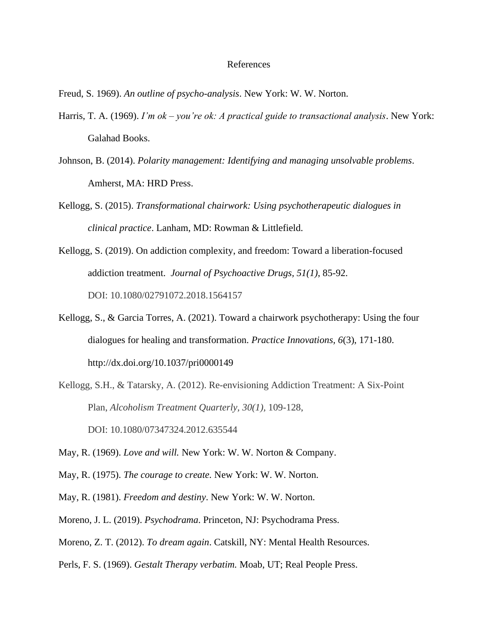## References

Freud, S. 1969). *An outline of psycho-analysis*. New York: W. W. Norton.

- Harris, T. A. (1969). *I'm ok – you're ok: A practical guide to transactional analysis*. New York: Galahad Books.
- Johnson, B. (2014). *Polarity management: Identifying and managing unsolvable problems*. Amherst, MA: HRD Press.
- Kellogg, S. (2015). *Transformational chairwork: Using psychotherapeutic dialogues in clinical practice*. Lanham, MD: Rowman & Littlefield.
- Kellogg, S. (2019). On addiction complexity, and freedom: Toward a liberation-focused addiction treatment. *Journal of Psychoactive Drugs, 51(1)*, 85-92. DOI: [10.1080/02791072.2018.1564157](https://doi.org/10.1080/02791072.2018.1564157)
- Kellogg, S., & Garcia Torres, A. (2021). Toward a chairwork psychotherapy: Using the four dialogues for healing and transformation. *Practice Innovations, 6*(3), 171-180. http://dx.doi.org/10.1037/pri0000149
- Kellogg, S.H., & Tatarsky, A. (2012). Re-envisioning Addiction Treatment: A Six-Point Plan, *Alcoholism Treatment Quarterly, 30(1),* 109-128, DOI: [10.1080/07347324.2012.635544](https://doi.org/10.1080/07347324.2012.635544)
- May, R. (1969). *Love and will.* New York: W. W. Norton & Company.
- May, R. (1975). *The courage to create.* New York: W. W. Norton.
- May, R. (1981). *Freedom and destiny*. New York: W. W. Norton.
- Moreno, J. L. (2019). *Psychodrama*. Princeton, NJ: Psychodrama Press.
- Moreno, Z. T. (2012). *To dream again*. Catskill, NY: Mental Health Resources.
- Perls, F. S. (1969). *Gestalt Therapy verbatim.* Moab, UT; Real People Press.